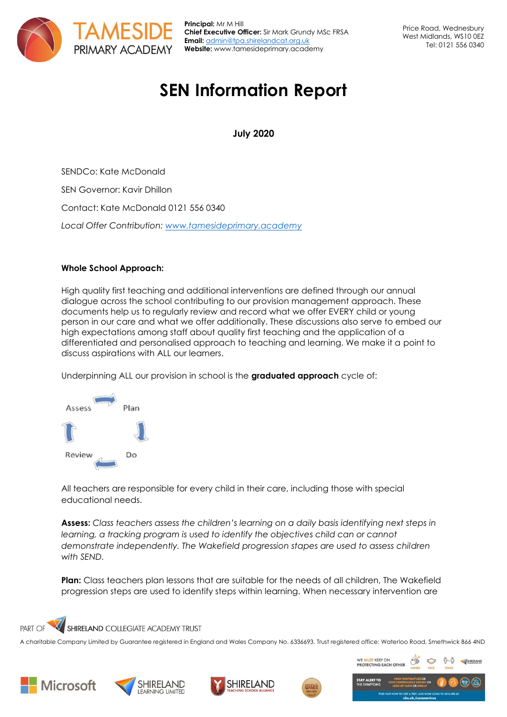

**Principal:** Mr M Hill **Chief Executive Officer:** Sir Mark Grundy MSc FRSA **Email:** [admin@tpa.shirelandcat.org.uk](mailto:admin@tpa.shirelandcat.org.uk) **Website:** www.tamesideprimary.academy

# **SEN Information Report**

**July 2020**

SENDCo: Kate McDonald SEN Governor: Kavir Dhillon Contact: Kate McDonald 0121 556 0340 *Local Offer Contribution: [www.tamesideprimary.academy](http://www.tamesideprimary.academy/)*

# **Whole School Approach:**

High quality first teaching and additional interventions are defined through our annual dialogue across the school contributing to our provision management approach. These documents help us to regularly review and record what we offer EVERY child or young person in our care and what we offer additionally. These discussions also serve to embed our high expectations among staff about quality first teaching and the application of a differentiated and personalised approach to teaching and learning. We make it a point to discuss aspirations with ALL our learners.

Underpinning ALL our provision in school is the **graduated approach** cycle of:



All teachers are responsible for every child in their care, including those with special educational needs.

**Assess:** *Class teachers assess the children's learning on a daily basis identifying next steps in learning, a tracking program is used to identify the objectives child can or cannot demonstrate independently. The Wakefield progression stapes are used to assess children with SEND.* 

**Plan:** Class teachers plan lessons that are suitable for the needs of all children, The Wakefield progression steps are used to identify steps within learning. When necessary intervention are

#### $\overline{\mathcal{U}}$ **PART OF** SHIRELAND COLLEGIATE ACADEMY TRUST

A charitable Company Limited by Guarantee registered in England and Wales Company No. 6336693. Trust registered office: Waterloo Road, Smethwick B66 4ND











**ST KEEP O**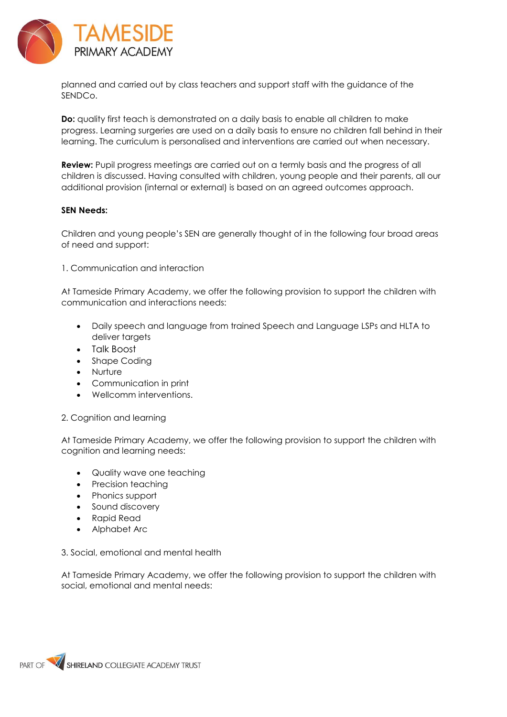

planned and carried out by class teachers and support staff with the guidance of the SENDCo.

**Do:** quality first teach is demonstrated on a daily basis to enable all children to make progress. Learning surgeries are used on a daily basis to ensure no children fall behind in their learning. The curriculum is personalised and interventions are carried out when necessary.

**Review:** Pupil progress meetings are carried out on a termly basis and the progress of all children is discussed. Having consulted with children, young people and their parents, all our additional provision (internal or external) is based on an agreed outcomes approach.

#### **SEN Needs:**

Children and young people's SEN are generally thought of in the following four broad areas of need and support:

1. Communication and interaction

At Tameside Primary Academy, we offer the following provision to support the children with communication and interactions needs:

- Daily speech and language from trained Speech and Language LSPs and HLTA to deliver targets
- Talk Boost
- Shape Coding
- Nurture
- Communication in print
- Wellcomm interventions.

2. Cognition and learning

At Tameside Primary Academy, we offer the following provision to support the children with cognition and learning needs:

- Quality wave one teaching
- Precision teaching
- Phonics support
- Sound discovery
- Rapid Read
- Alphabet Arc
- 3. Social, emotional and mental health

At Tameside Primary Academy, we offer the following provision to support the children with social, emotional and mental needs:

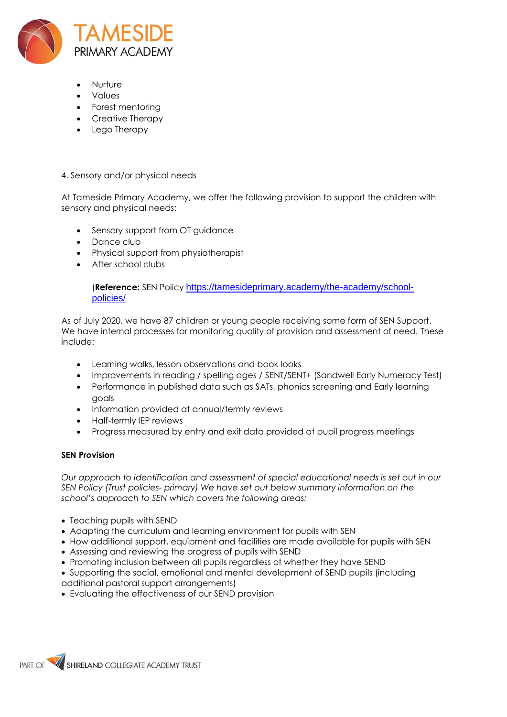

- Nurture
- Values
- Forest mentoring
- Creative Therapy
- Lego Therapy

#### 4. Sensory and/or physical needs

At Tameside Primary Academy, we offer the following provision to support the children with sensory and physical needs:

- Sensory support from OT guidance
- Dance club
- Physical support from physiotherapist
- After school clubs

(**Reference:** SEN Policy [https://tamesideprimary.academy/the-academy/school](https://tamesideprimary.academy/the-academy/school-policies/)[policies/](https://tamesideprimary.academy/the-academy/school-policies/)

As of July 2020, we have 87 children or young people receiving some form of SEN Support. We have internal processes for monitoring quality of provision and assessment of need*.* These include:

- Learning walks, lesson observations and book looks
- Improvements in reading / spelling ages / SENT/SENT+ (Sandwell Early Numeracy Test)
- Performance in published data such as SATs, phonics screening and Early learning goals
- Information provided at annual/termly reviews
- Half-termly IEP reviews
- Progress measured by entry and exit data provided at pupil progress meetings

#### **SEN Provision**

*Our approach to identification and assessment of special educational needs is set out in our SEN Policy (Trust policies- primary) We have set out below summary information on the school's approach to SEN which covers the following areas:* 

- Teaching pupils with SEND
- Adapting the curriculum and learning environment for pupils with SEN
- How additional support, equipment and facilities are made available for pupils with SEN
- Assessing and reviewing the progress of pupils with SEND
- Promoting inclusion between all pupils regardless of whether they have SEND
- Supporting the social, emotional and mental development of SEND pupils (including
- additional pastoral support arrangements)
- Evaluating the effectiveness of our SEND provision

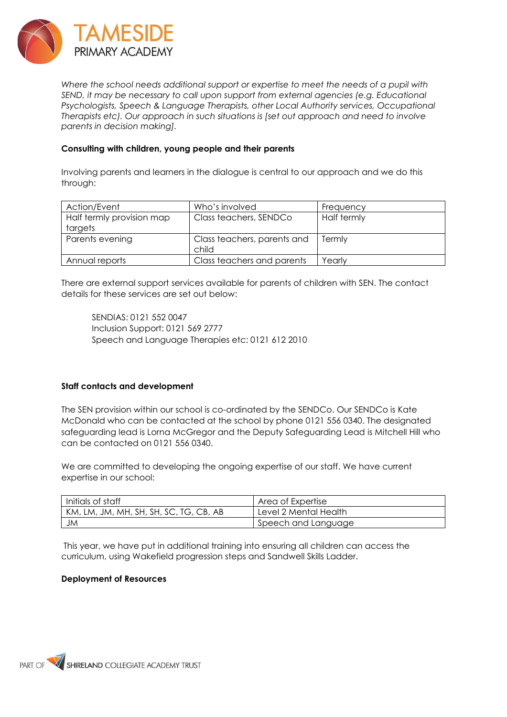

*Where the school needs additional support or expertise to meet the needs of a pupil with SEND, it may be necessary to call upon support from external agencies (e.g. Educational Psychologists, Speech & Language Therapists, other Local Authority services, Occupational Therapists etc). Our approach in such situations is [set out approach and need to involve parents in decision making].* 

#### **Consulting with children, young people and their parents**

Involving parents and learners in the dialogue is central to our approach and we do this through:

| Action/Event              | Who's involved                       | Frequency   |
|---------------------------|--------------------------------------|-------------|
| Half termly provision map | Class teachers, SENDCo               | Half termly |
| targets                   |                                      |             |
| Parents evening           | Class teachers, parents and<br>child | Termly      |
| Annual reports            | Class teachers and parents           | Yearly      |

There are external support services available for parents of children with SEN. The contact details for these services are set out below:

SENDIAS: 0121 552 0047 Inclusion Support: 0121 569 2777 Speech and Language Therapies etc: 0121 612 2010

# **Staff contacts and development**

The SEN provision within our school is co-ordinated by the SENDCo. Our SENDCo is Kate McDonald who can be contacted at the school by phone 0121 556 0340. The designated safeguarding lead is Lorna McGregor and the Deputy Safeguarding Lead is Mitchell Hill who can be contacted on 0121 556 0340.

We are committed to developing the ongoing expertise of our staff. We have current expertise in our school:

| Initials of staff                      | Area of Expertise     |
|----------------------------------------|-----------------------|
| KM, LM, JM, MH, SH, SH, SC, TG, CB, AB | Level 2 Mental Health |
| JM                                     | Speech and Language   |

This year, we have put in additional training into ensuring all children can access the curriculum, using Wakefield progression steps and Sandwell Skills Ladder.

#### **Deployment of Resources**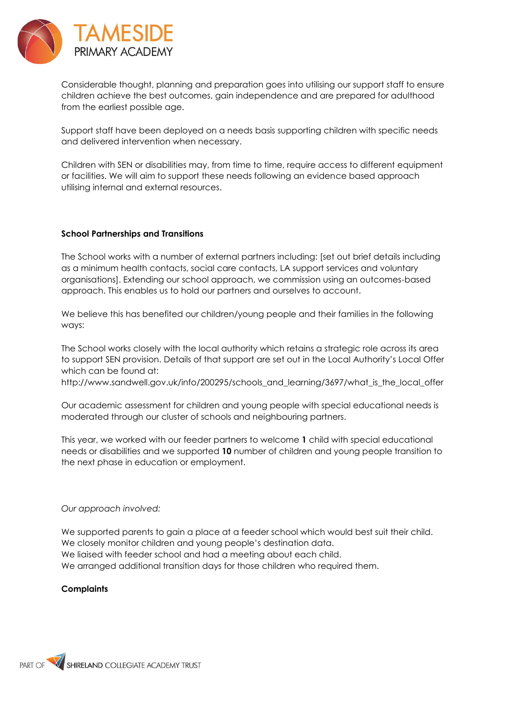

Considerable thought, planning and preparation goes into utilising our support staff to ensure children achieve the best outcomes, gain independence and are prepared for adulthood from the earliest possible age.

Support staff have been deployed on a needs basis supporting children with specific needs and delivered intervention when necessary.

Children with SEN or disabilities may, from time to time, require access to different equipment or facilities. We will aim to support these needs following an evidence based approach utilising internal and external resources.

#### **School Partnerships and Transitions**

The School works with a number of external partners including: [set out brief details including as a minimum health contacts, social care contacts, LA support services and voluntary organisations]. Extending our school approach, we commission using an outcomes-based approach. This enables us to hold our partners and ourselves to account.

We believe this has benefited our children/young people and their families in the following ways:

The School works closely with the local authority which retains a strategic role across its area to support SEN provision. Details of that support are set out in the Local Authority's Local Offer which can be found at:

http://www.sandwell.gov.uk/info/200295/schools\_and\_learning/3697/what\_is\_the\_local\_offer

Our academic assessment for children and young people with special educational needs is moderated through our cluster of schools and neighbouring partners.

This year, we worked with our feeder partners to welcome **1** child with special educational needs or disabilities and we supported **10** number of children and young people transition to the next phase in education or employment.

#### *Our approach involved:*

We supported parents to gain a place at a feeder school which would best suit their child. We closely monitor children and young people's destination data. We liaised with feeder school and had a meeting about each child. We arranged additional transition days for those children who required them.

#### **Complaints**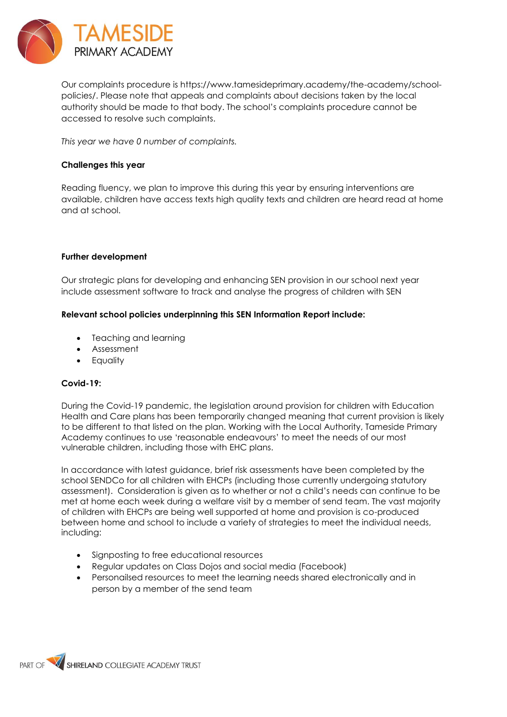

Our complaints procedure is https://www.tamesideprimary.academy/the-academy/schoolpolicies/. Please note that appeals and complaints about decisions taken by the local authority should be made to that body. The school's complaints procedure cannot be accessed to resolve such complaints.

*This year we have 0 number of complaints.* 

## **Challenges this year**

Reading fluency, we plan to improve this during this year by ensuring interventions are available, children have access texts high quality texts and children are heard read at home and at school.

### **Further development**

Our strategic plans for developing and enhancing SEN provision in our school next year include assessment software to track and analyse the progress of children with SEN

### **Relevant school policies underpinning this SEN Information Report include:**

- Teaching and learning
- Assessment
- **Equality**

# **Covid-19:**

During the Covid-19 pandemic, the legislation around provision for children with Education Health and Care plans has been temporarily changed meaning that current provision is likely to be different to that listed on the plan. Working with the Local Authority, Tameside Primary Academy continues to use 'reasonable endeavours' to meet the needs of our most vulnerable children, including those with EHC plans.

In accordance with latest guidance, brief risk assessments have been completed by the school SENDCo for all children with EHCPs (including those currently undergoing statutory assessment). Consideration is given as to whether or not a child's needs can continue to be met at home each week during a welfare visit by a member of send team. The vast majority of children with EHCPs are being well supported at home and provision is co-produced between home and school to include a variety of strategies to meet the individual needs, including:

- Signposting to free educational resources
- Regular updates on Class Dojos and social media (Facebook)
- Personailsed resources to meet the learning needs shared electronically and in person by a member of the send team